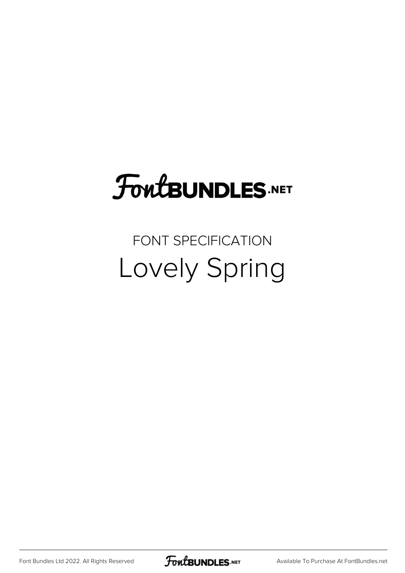# **FoutBUNDLES.NET**

## FONT SPECIFICATION Lovely Spring

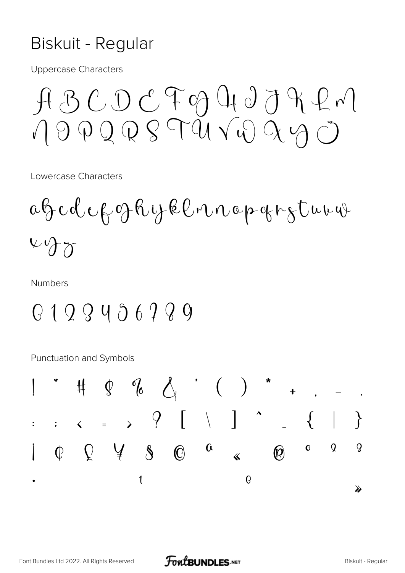### Biskuit - Regular

**Uppercase Characters** 

$$
\mathcal{A} \underset{1}{\mathcal{B} \cup \mathcal{O}}} \underset{Q \otimes Q}{\mathcal{C} \underset{Q}{\mathcal{F}}} \underset{Q}{\mathcal{O}} \underset{Q}{\mathcal{O}} \underset{Q}{\mathcal{O}} \underset{Q}{\mathcal{O}} \underset{Q}{\mathcal{O}}
$$

Lowercase Characters

**Numbers** 

### $Q$  1 2 3 4 3 6 7 8 9

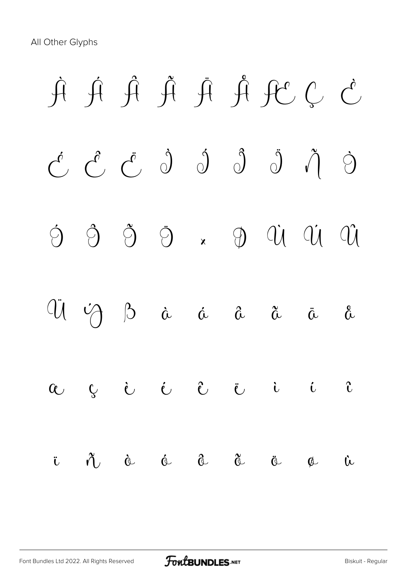À Á Â Ã Ä Å Æ Ç È  $\vec{C}$   $\vec{C}$   $\vec{O}$   $\vec{O}$   $\vec{O}$   $\vec{O}$   $\vec{O}$ Ó Ô Õ Ö × Ø Ù Ú Û Ü Ý ß à á â ã ä å æ ç è é ê ë ì í î ï ñ ò ó ô õ ö ø ù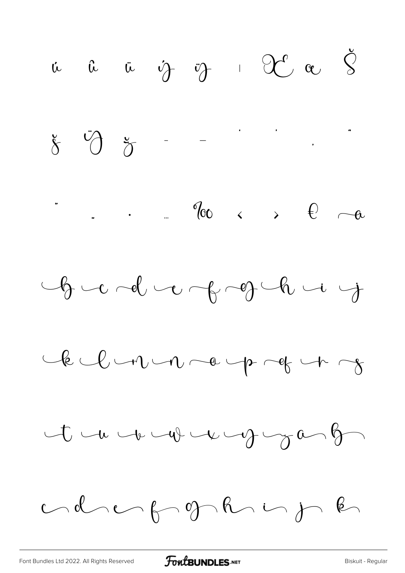i û ji ji de  $\check{S}$  $\label{eq:2.1} \begin{array}{cccccccccccccc} \mathcal{L}_{\text{max}} & \mathcal{L}_{\text{max}} & \mathcal{L}_{\text{max}} & \mathcal{L}_{\text{max}} & \mathcal{L}_{\text{max}} & \mathcal{L}_{\text{max}} & \mathcal{L}_{\text{max}} & \mathcal{L}_{\text{max}} & \mathcal{L}_{\text{max}} & \mathcal{L}_{\text{max}} & \mathcal{L}_{\text{max}} & \mathcal{L}_{\text{max}} & \mathcal{L}_{\text{max}} & \mathcal{L}_{\text{max}} & \mathcal{L}_{\text{max}} & \mathcal{L}_{\text{max}} & \mathcal{L}_{\text{$  $\check{\delta}$   $\check{\Theta}$   $\check{\sigma}$  $\int_{0}^{\infty}$  and  $\int_{0}^{\infty}$  and  $\int_{0}^{\infty}$  and  $\int_{0}^{\infty}$  and  $\int_{0}^{\infty}$  and  $\int_{0}^{\infty}$  and  $\int_{0}^{\infty}$  and  $\int_{0}^{\infty}$  and  $\int_{0}^{\infty}$  and  $\int_{0}^{\infty}$  and  $\int_{0}^{\infty}$  and  $\int_{0}^{\infty}$  and  $\int_{0}^{\infty}$  and  $\theta$   $\theta$  $\rightarrow$  $-6-c-c-c-c-c-c-c$ le l'arme pref un  $\rightarrow$  $-t$  on the way of  $-\gamma$  and  $endemf \circ g \circ f \circ g \circ f \circ g \circ f \circ g$ 

FontBUNDLES.NET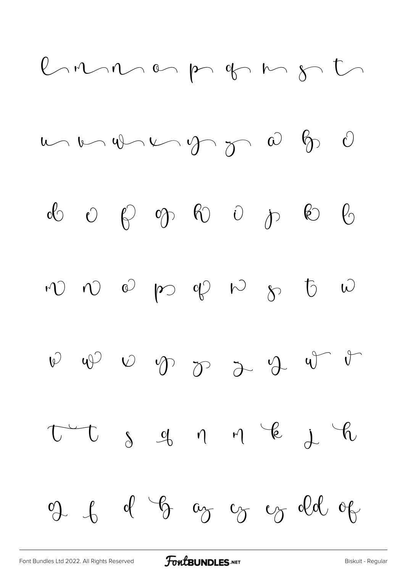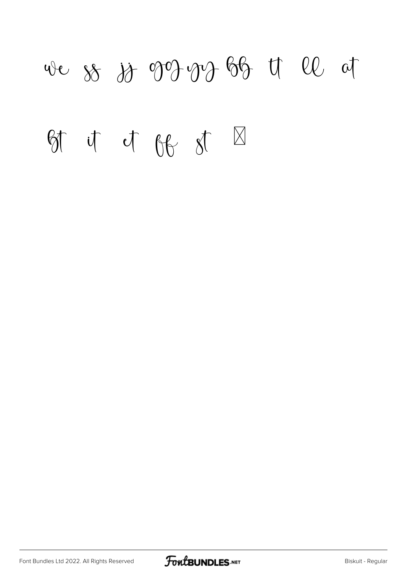## we so so voor van 66 tr ee at

## $f$  it it  $f$  if  $\mathbb{R}$

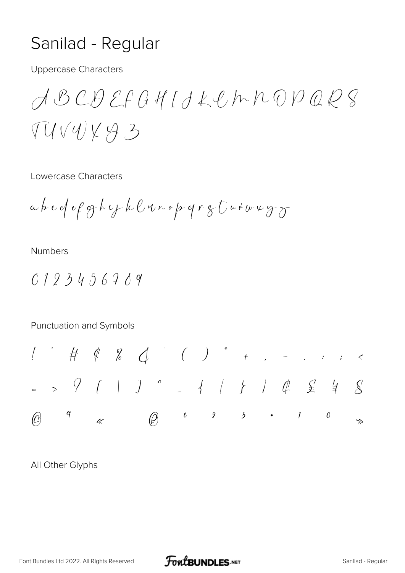### Sanilad - Regular

**Uppercase Characters** 

JBCDEFGHIJLCMNOPQRS  $\P U V U V Y Z$ 

Lowercase Characters

a b c of ef og h i j k l n n o p of r g t u r w v y y

**Numbers** 

 $0123456709$ 

Punctuation and Symbols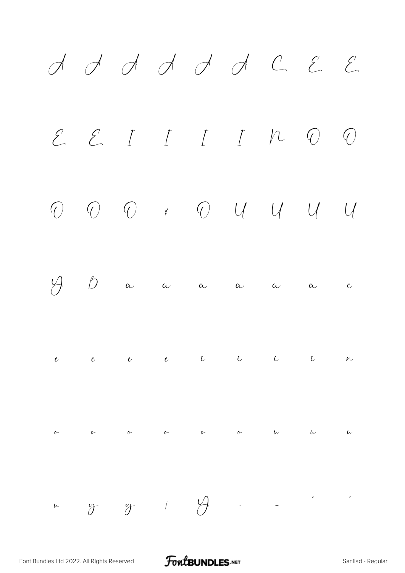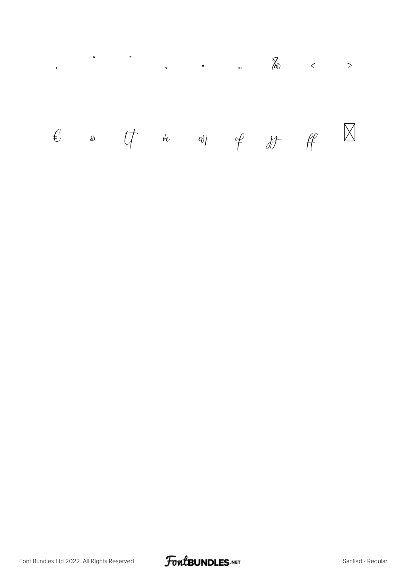$\label{eq:1.1} \mathbf{a}_{\mathbf{a}} = \mathbf{a}_{\mathbf{a}} + \mathbf{b}_{\mathbf{a}} + \mathbf{b}_{\mathbf{a}}$  $\cdot$  .  $\frac{7}{100}$   $\lt$   $\gt$  $\boldsymbol{v}$  $\mathcal{L}^{\text{max}}$  $\boxtimes$  $E$  as  $U$  be an of jj ff

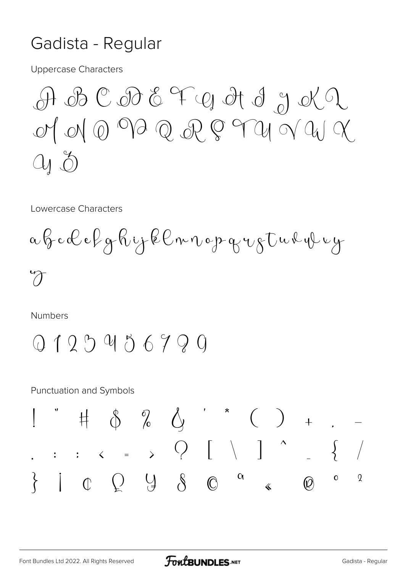### Gadista - Regular

**Uppercase Characters** 

Lowercase Characters

Numbers

$$
Q129456799
$$

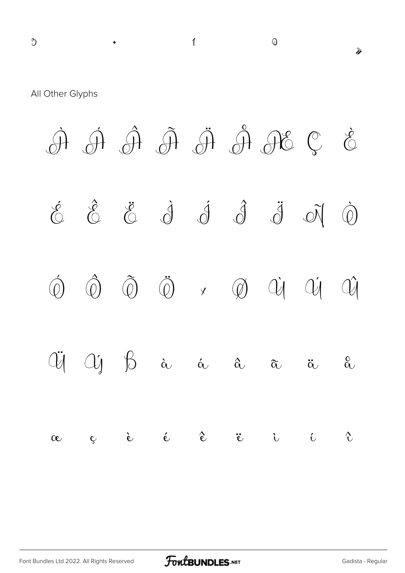$\bullet$ 



 $\mathbf{1}$ 

 $\mathbb{Q}$ 

 $\lambda$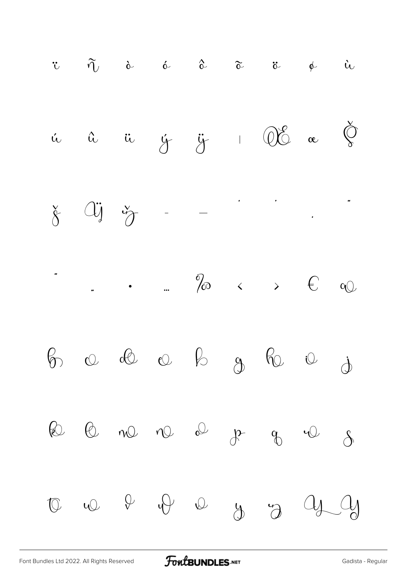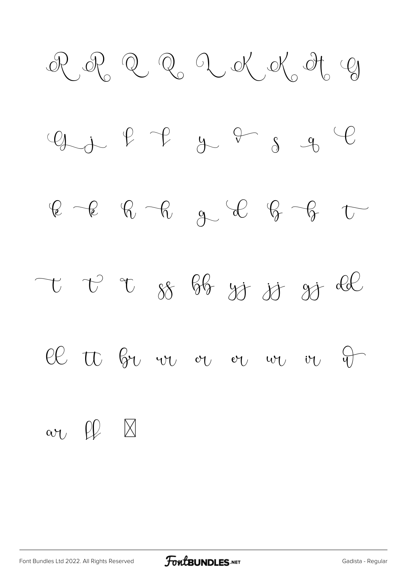ff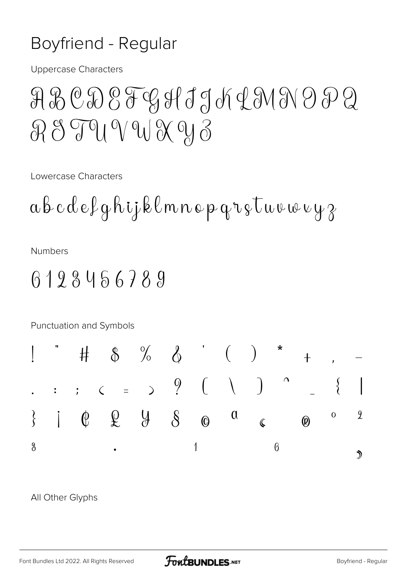### Boyfriend - Regular

**Uppercase Characters** 

A B C D S F G H J J N L M N 9 P Q R S TUVWX Y 3

Lowercase Characters

abcdefghijklmnopqrstuvwyz

**Numbers** 

### 6193456789

Punctuation and Symbols

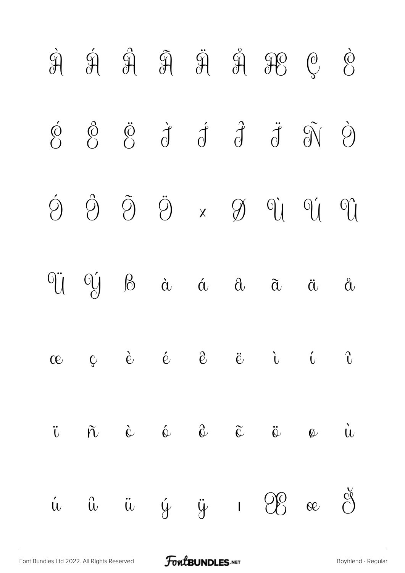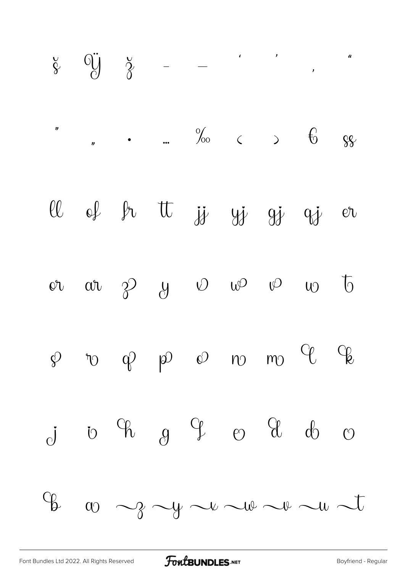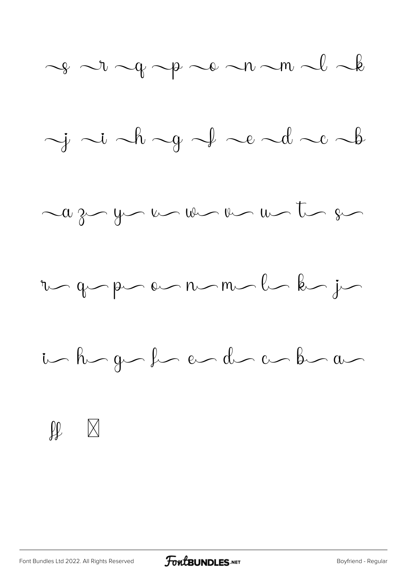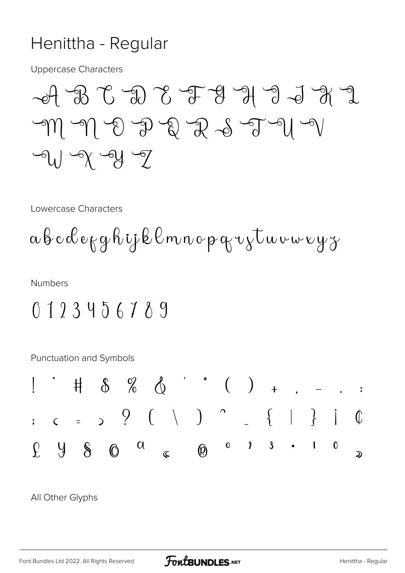#### Henittha - Regular

**Uppercase Characters** 

**Lowercase Characters** 

**Numbers** 

 $0123456789$ 

Punctuation and Symbols

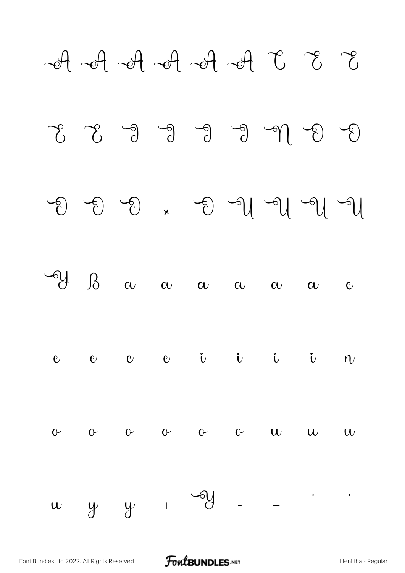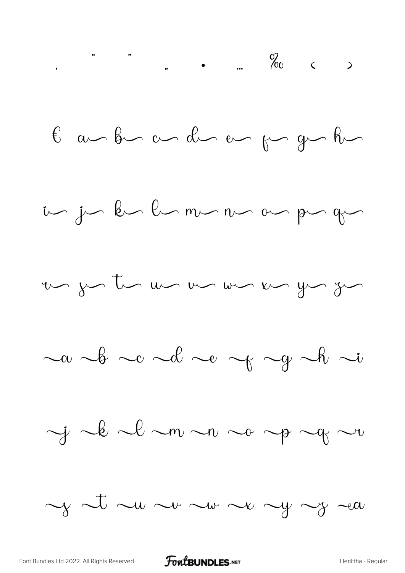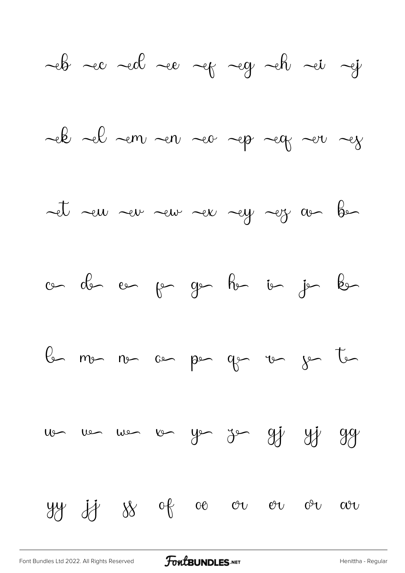





yy ji ss of oo or or or ar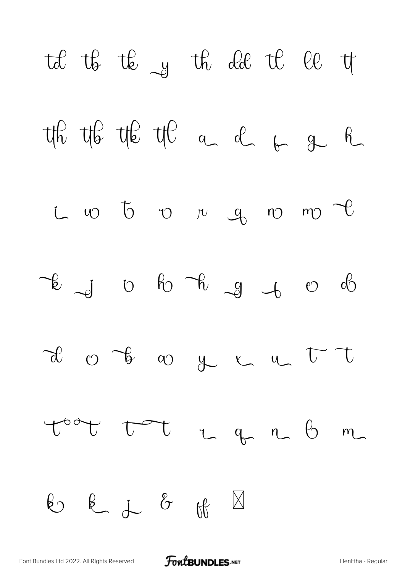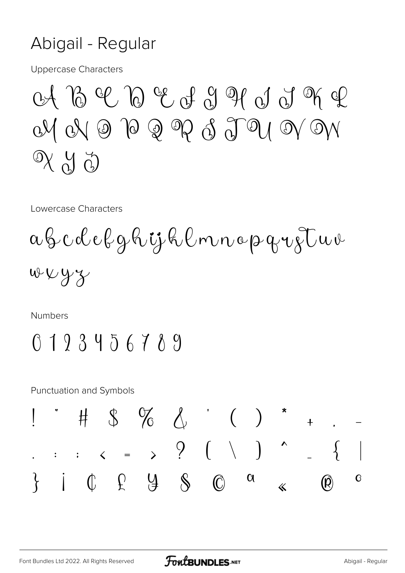### Abigail - Regular

**Uppercase Characters** 

 $\begin{array}{l} \mathbb{C}\mathcal{A} \text{ } \mathbb{C} \text{ } \mathbb{C} \text{ } \mathbb{C} \text{ } \mathbb{C} \text{ } \mathbb{C} \text{ } \mathbb{C} \text{ } \mathbb{C} \text{ } \mathbb{C} \text{ } \mathbb{C} \text{ } \mathbb{C} \text{ } \mathbb{C} \text{ } \mathbb{C} \text{ } \mathbb{C} \text{ } \mathbb{C} \text{ } \mathbb{C} \text{ } \mathbb{C} \text{ } \mathbb{C} \text{ } \mathbb{C} \text{ } \mathbb{C} \text{ } \mathbb{C} \text$  $\alpha \mathcal{A} \alpha \mathcal{A} \odot \mathcal{A} \alpha \mathcal{A} \odot \mathcal{A} \alpha \mathcal{A} \alpha \mathcal{A} \alpha \mathcal{A} \alpha \mathcal{A} \alpha \mathcal{A} \alpha \mathcal{A} \alpha \mathcal{A} \alpha \mathcal{A} \alpha \mathcal{A} \alpha \mathcal{A} \alpha \mathcal{A} \alpha \mathcal{A} \alpha \mathcal{A} \alpha \mathcal{A} \alpha \mathcal{A} \alpha \mathcal{A} \alpha \mathcal{A} \alpha \mathcal{A} \alpha \mathcal{A} \alpha \mathcal{A} \alpha \mathcal{A} \alpha \mathcal{A} \alpha$  $\mathbb{Q} \times \mathbb{Q} \times$ 

Lowercase Characters

a b c d e b g h ij h l m n o p g v x t u v  $WVYY$ 

Numbers

$$
0 1 2 3 4 5 6 7 8 9
$$

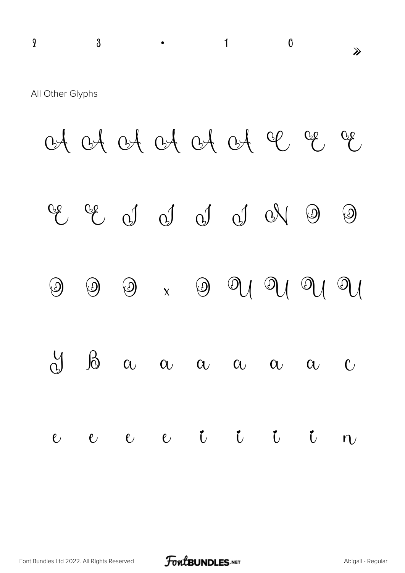$A$  of at of at  $A$  eq eq eq Ê Ë Ì Í Î Ï Ñ Ò Ó  $\odot$   $\odot$   $\odot$   $\odot$   $\odot$   $\odot$   $\odot$   $\odot$   $\odot$   $\odot$   $\odot$   $\odot$ Ý ß à á â ã ä å ç è é ê ë ì í î ï ñ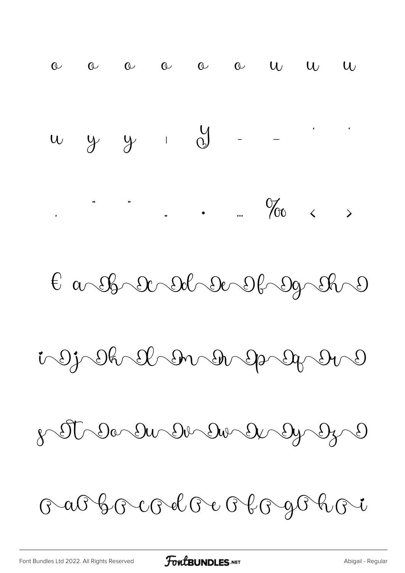$\omega$   $\omega$   $\omega$  $\alpha$   $\alpha$  $\mathbb{C}$  $\mathbb{\alpha}$  $\omega$  $\mathsf{U}$  $\frac{U}{Q}$  $\mathbf{r} = \left\{ \begin{array}{ll} 0 & \text{if} \ \mathbf{r} = \mathbf{r} \end{array} \right.$  $\overline{1}$  $\overline{u}$  $94$  $\begin{array}{ccc} a & & & v \\ & & & \end{array}$  $\frac{1}{2}$  .  $\frac{1}{2}$   $\frac{1}{2}$   $\frac{1}{2}$   $\frac{1}{2}$   $\frac{1}{2}$   $\frac{1}{2}$   $\frac{1}{2}$   $\frac{1}{2}$   $\frac{1}{2}$   $\frac{1}{2}$   $\frac{1}{2}$   $\frac{1}{2}$   $\frac{1}{2}$   $\frac{1}{2}$   $\frac{1}{2}$   $\frac{1}{2}$   $\frac{1}{2}$   $\frac{1}{2}$   $\frac{1}{2}$   $\frac{1}{2}$   $\frac{1}{2}$  $\left\langle \right\rangle$  $E$  and  $x$  and send  $\partial y$  and indjudhallen en Opreg  $\mathbb{Q}$  $\searrow \hspace{-0.12cm}\mathcal{O}_U$ Da Du De De De Dy Dz  $\bigcirc$ GaP G G C Geb G C G G G G G h G i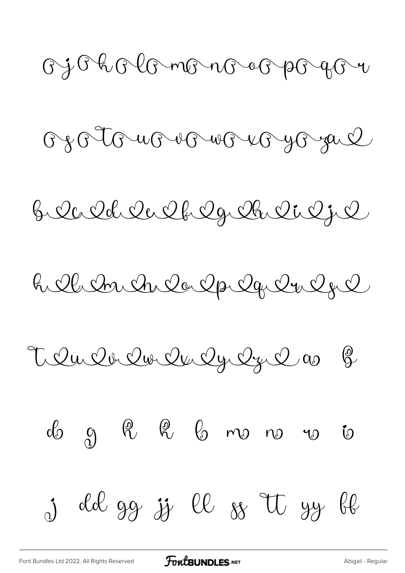j Ph BlBmBn B0BpB9B4 B TB WB WB WB XB yB you 2 bilalde la la la la lilje hillichachilo epilgila la ilulala la ly ly la 6 do g R R b no no no jo j del gg jj ll  $_{85}$  U yy bl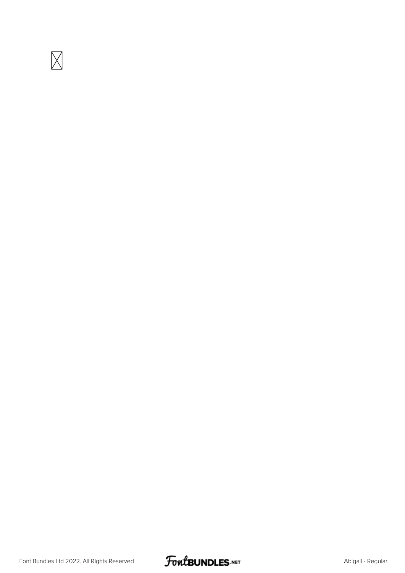

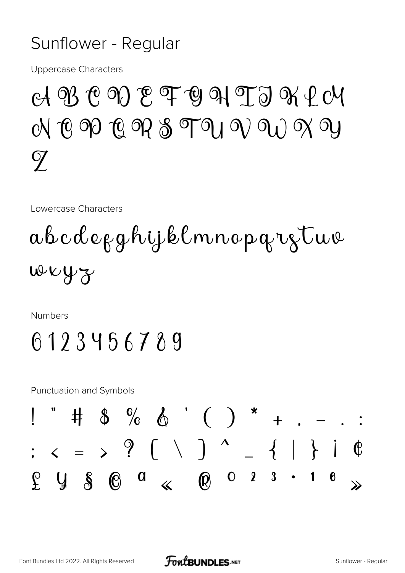#### Sunflower - Regular

**Uppercase Characters** 

 $(A \mathfrak{B} \mathfrak{C} \mathfrak{D}) \mathfrak{C} \mathfrak{T} \mathfrak{D} \mathfrak{A} \mathfrak{T} \mathfrak{D} \mathfrak{R} \mathfrak{C} U$  $\alpha \in \mathbb{R}$  of  $\alpha$  of  $\alpha$  of  $\alpha$  of  $\alpha$  of  $\alpha$  of  $\alpha$  $\int$ 

Lowercase Characters

abcdepghijklmnopqrxtuv  $wkyz$ 

**Numbers** 

### 6123456789

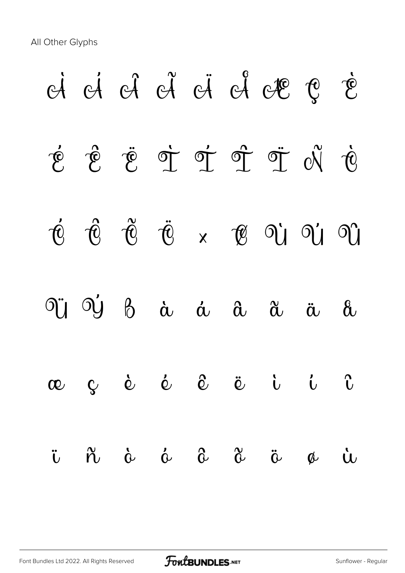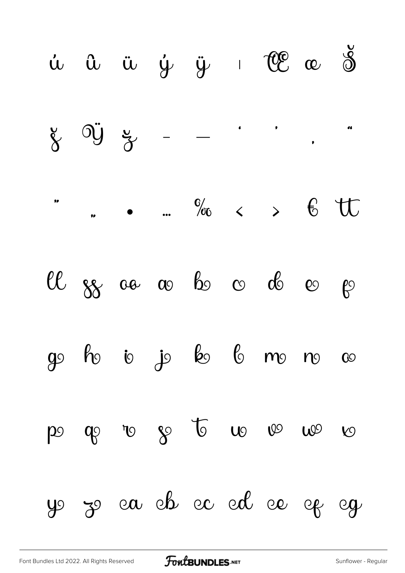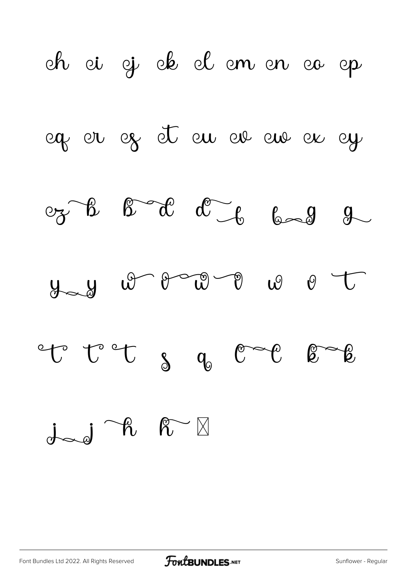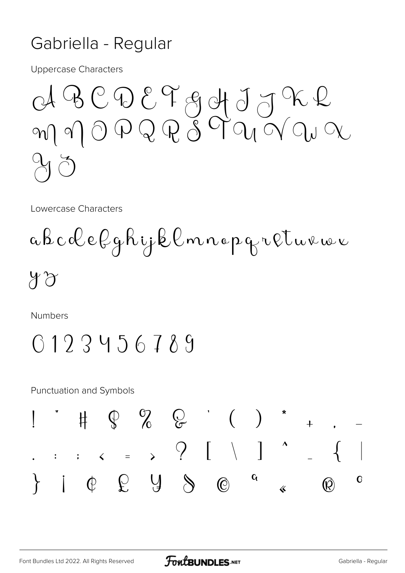### Gabriella - Regular

**Uppercase Characters** 

Lowercase Characters

Numbers

$$
0123456789
$$

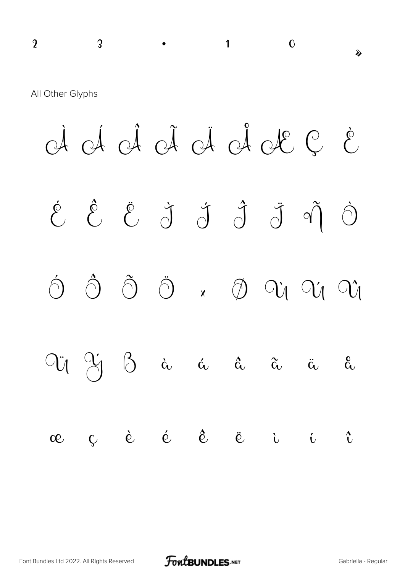d d d d d d d l c è  $\stackrel{\circ}{C}\stackrel{\circ}{C}\stackrel{\circ}{C}\stackrel{\circ}{J}\stackrel{\circ}{J}\stackrel{\circ}{J}\stackrel{\circ}{J}\stackrel{\circ}{J}$  $\hat{O}$  $\hat{O}$  $\hat{O}$  $\tilde{O}$  $\ddot{\odot}$  x  $\oslash$  $\alpha_1 \alpha_2 \alpha_3$  $\beta$  à á â  $\tilde{a}$  ä ä  $\alpha$  $\alpha$  $\dot{e}$  $\acute{e}$   $\acute{e}$   $\ddot{e}$   $\ddot{c}$  $\mathbf{\hat{S}}$  $\mathfrak{c}$  $\hat{c}$  $\infty$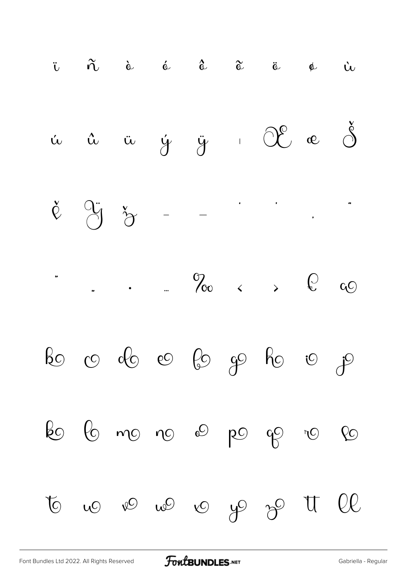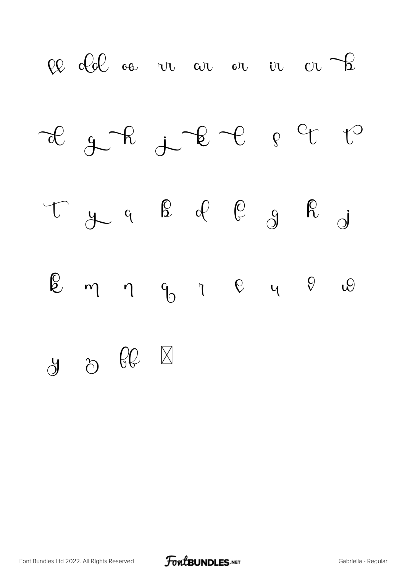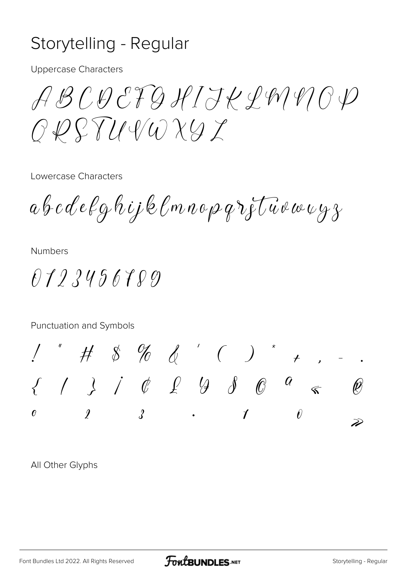### Storytelling - Regular

**Uppercase Characters** 

ABCOCFGHIJKLMMOD  $OPPTUVWYYZ$ 

Lowercase Characters

 $ab\,cd\,e\,d$ elghijklmnopqrj $\{a\}$ wwyz

**Numbers** 

 $0123456709$ 

Punctuation and Symbols

 $1'$  # \$ % & ' ( ) \* , .  $\begin{array}{cccccccccccccccccc} \{ & & \ell & & \mathit{f} & & \mathit{g} & & \mathit{g} & & \mathit{g} & & \mathit{g} & & \mathit{g} & & \mathit{g} & & \mathit{g} & & \mathit{g} & & \mathit{g} & & \mathit{g} & & \mathit{g} & & \mathit{g} & & \mathit{g} & & \mathit{g} & & \mathit{g} & & \mathit{g} & & \mathit{g} & & \mathit{g} & & \mathit{g} & & \mathit{g} & & \mathit{g} & & \mathit{g} & & \mathit{g} & & \mathit{g} & & \$  $\boldsymbol{\theta}$  $\boldsymbol{\mathcal{J}}$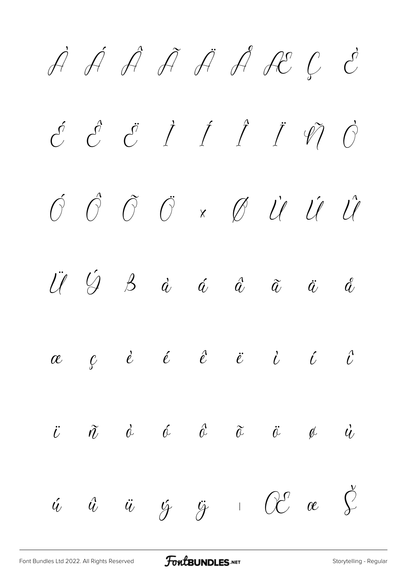À Á Â Ã Ä Å Æ Ç È É Ê Ë Ì Í Î Ï Ñ Ò Ó Ô Õ Ö × Ø Ù Ú Û  $\ddot{U}$   $\acute{Q}$   $\beta$   $\dot{a}$   $\acute{a}$   $\ddot{a}$   $\ddot{a}$   $\ddot{a}$   $\ddot{a}$  $\begin{array}{cccccccccccccccccc} \alpha & & \varrho & & \dot{e} & & \hat{e} & & \hat{e} & & \dot{e} & & \dot{c} & & \dot{c} & & \dot{c} & & \dot{c} & & \end{array}$  $\ddot{c}$   $\tilde{a}$   $\acute{a}$   $\tilde{c}$   $\tilde{a}$   $\tilde{c}$   $\tilde{a}$   $\tilde{a}$   $\tilde{a}$ ú û ü ý  $\ddot{y}$  ı  $\mathbb{C}$  æ  $\ddot{\mathcal{S}}$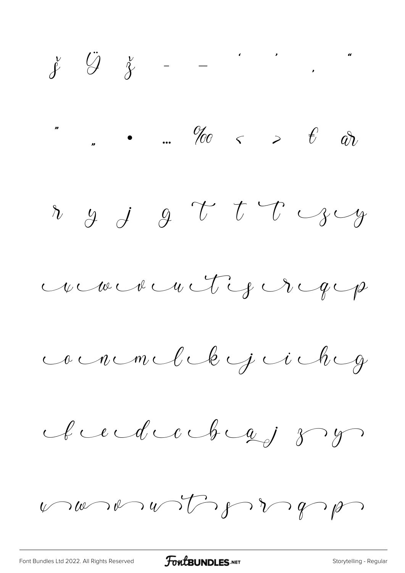$\oint d\theta = \frac{1}{2}$  .  $\frac{1}{2}$  .  $\frac{1}{2}$  (1)  $\frac{1}{2}$  .  $\frac{1}{2}$  (1)  $\frac{1}{2}$  .  $\frac{1}{2}$  .  $\frac{1}{2}$  .  $\frac{1}{2}$  .  $\frac{1}{2}$  $\begin{array}{ccccccccc} \text{r} & \text{r} & \text{r} & \text{r} & \text{r} & \text{r} & \text{r} & \text{r} & \text{r} & \text{r} & \text{r} & \text{r} & \text{r} & \text{r} & \text{r} & \text{r} & \text{r} & \text{r} & \text{r} & \text{r} & \text{r} & \text{r} & \text{r} & \text{r} & \text{r} & \text{r} & \text{r} & \text{r} & \text{r} & \text{r} & \text{r} & \text{r} & \text{r} & \text{r} & \text{r} & \$  $\omega$   $\omega$   $\omega$   $\omega$   $\omega$   $\omega$   $\omega$   $\omega$ concorde éguide Acedechig 8 g  $w$ une untrend groen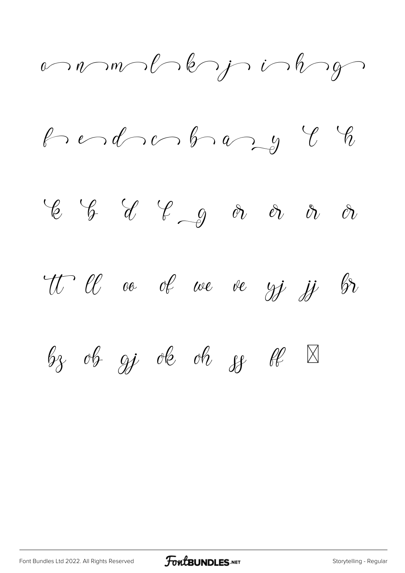$\epsilon$  on  $\epsilon$  of  $\epsilon$ 

 $\kappa$  order of a g y  $\ell$ 

 $\begin{array}{ccccccccccccc} \textbf{C} & \textbf{C} & \textbf{C} & \textbf{C} & \textbf{C} & \textbf{C} & \textbf{C} & \textbf{C} & \textbf{C} & \textbf{C} & \textbf{C} & \textbf{C} & \textbf{C} & \textbf{C} & \textbf{C} & \textbf{C} & \textbf{C} & \textbf{C} & \textbf{C} & \textbf{C} & \textbf{C} & \textbf{C} & \textbf{C} & \textbf{C} & \textbf{C} & \textbf{C} & \textbf{C} & \textbf{C} & \textbf{C} & \textbf{C} &$ 

It ll oa of we ve yj jj br

 $\begin{array}{ccccccccc}\n\mathcal{G}_3 & \mathcal{O} & \mathcal{G}_2 & \mathcal{O} & \mathcal{G}_3 & \mathcal{O} & \mathcal{G}_4 & \mathcal{G}_5 & \mathcal{G}_6 & \mathcal{G}_7 & \mathcal{G}_8 & \mathcal{G}_8 & \mathcal{G}_9 & \mathcal{G}_9 & \mathcal{G}_9 & \mathcal{G}_9 & \mathcal{G}_9 & \mathcal{G}_9 & \mathcal{G}_9 & \mathcal{G}_9 & \mathcal{G}_9 & \mathcal{G}_9 & \mathcal{G}_9 & \mathcal{G}_9 & \mathcal{G}_9 & \mathcal{G}_9 & \mathcal{G$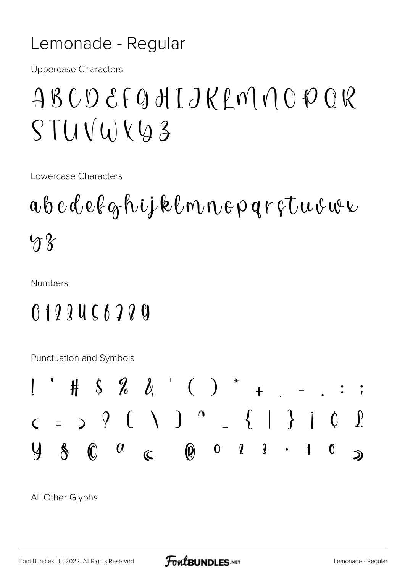#### Lemonade - Regular

**Uppercase Characters** 

# $ABCOEGAHJKEMNOPQR$  $STUUUKQ3$

Lowercase Characters

# abcdefghijklmnopqrçtuvw  $48$

**Numbers** 

## $0123456789$

Punctuation and Symbols

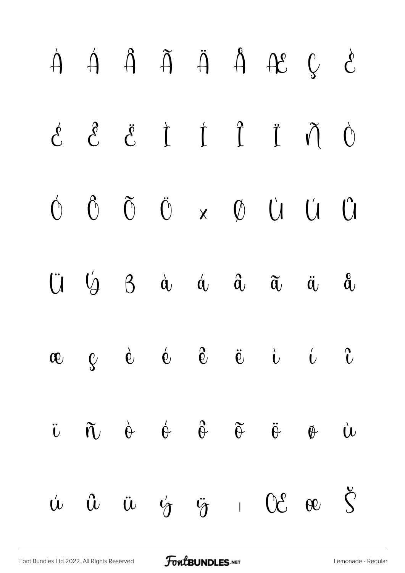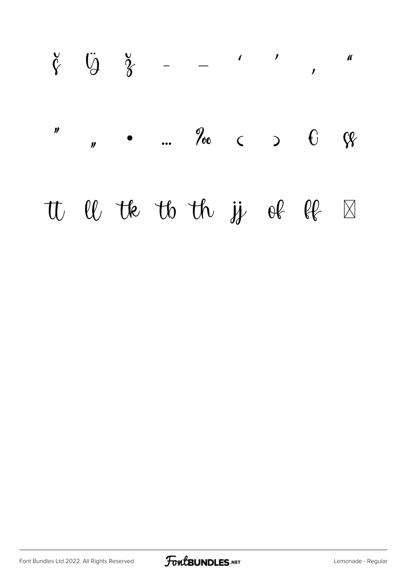## $\zeta$   $\zeta$   $\zeta$  $\frac{1}{\sqrt{2}}$  $\mathbf{I}$  $\therefore$  % c >  $\theta$  &  $\boldsymbol{y}$  $\boldsymbol{\mathcal{Y}}$ The  $w$  the the the  $j$  of  $\ell \in \mathbb{Z}$

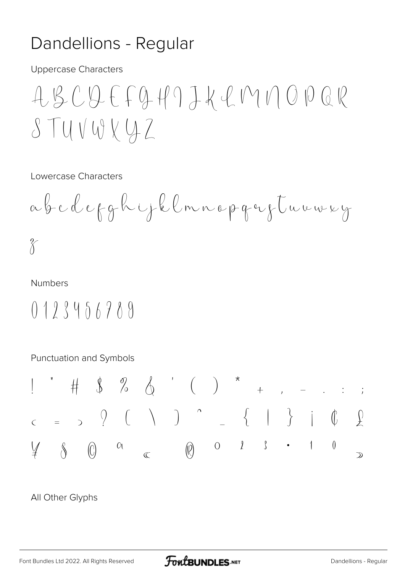### Dandellions - Regular

**Uppercase Characters** 

Lowercase Characters

**Numbers** 

## $0123456789$

Punctuation and Symbols

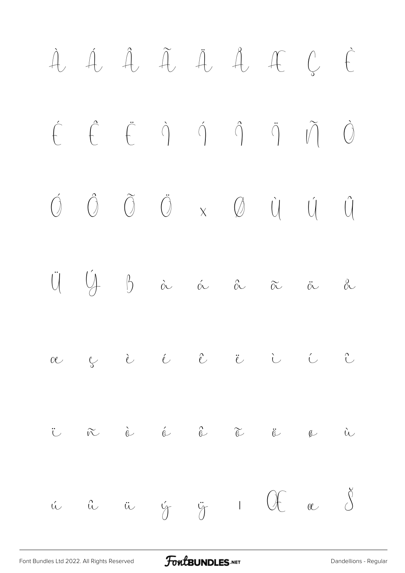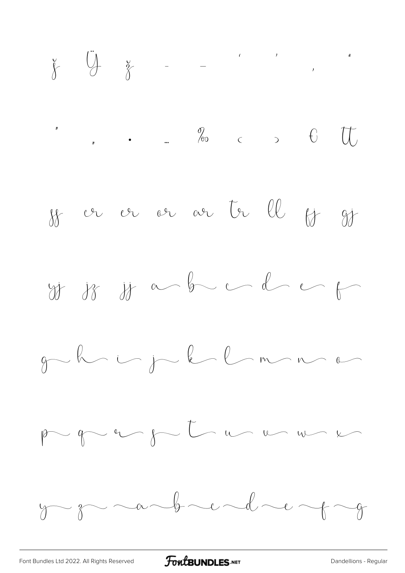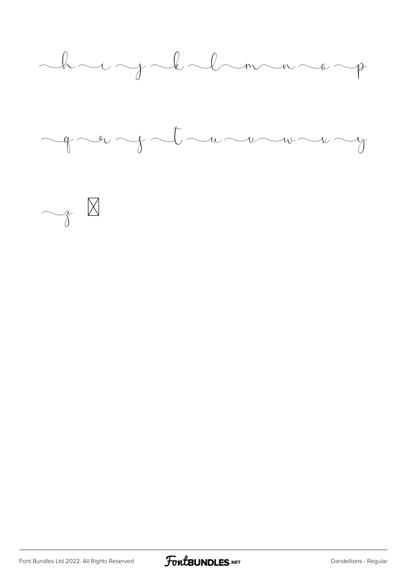





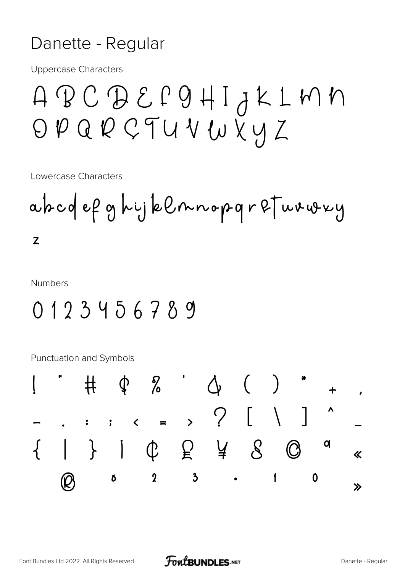#### Danette - Regular

**Uppercase Characters** 

$$
ABCDEPOHJJKLMMOPQROTUVWYZ
$$

Lowercase Characters

**Numbers** 

## 0123456789

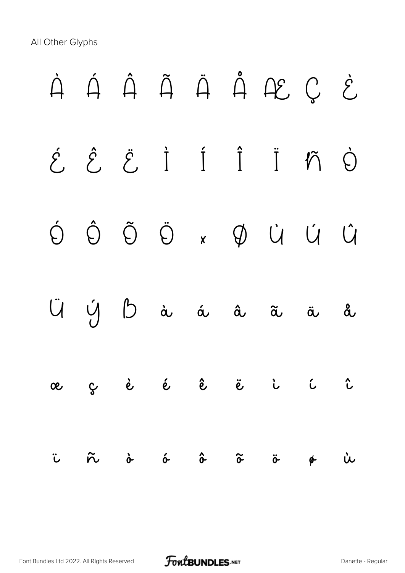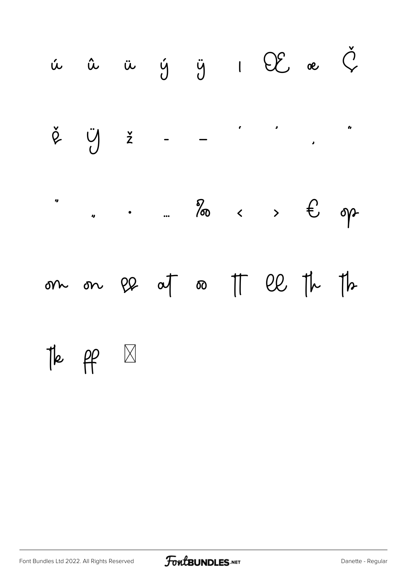

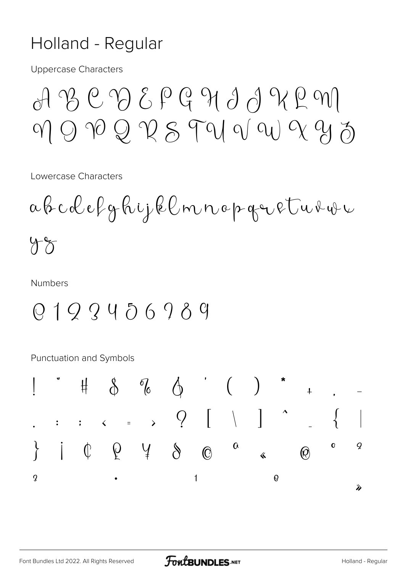### Holland - Regular

**Uppercase Characters** 

$$
\begin{array}{c} \mathcal{A} \mathcal{B} \mathcal{C} \mathcal{D} \mathcal{S} \mathcal{P} \mathcal{G} \mathcal{H} \mathcal{J} \mathcal{O} \mathcal{R} \mathcal{P} \mathcal{M} \\ \mathcal{A} \mathcal{D} \mathcal{D} \mathcal{P} \mathcal{Q} \mathcal{R} \mathcal{S} \mathcal{P} \mathcal{M} \mathcal{Q} \mathcal{Q} \mathcal{W} \end{array}
$$

Lowercase Characters

**Numbers** 

$$
Q 1 Q Q Q U 5 6 Q 8 Q
$$

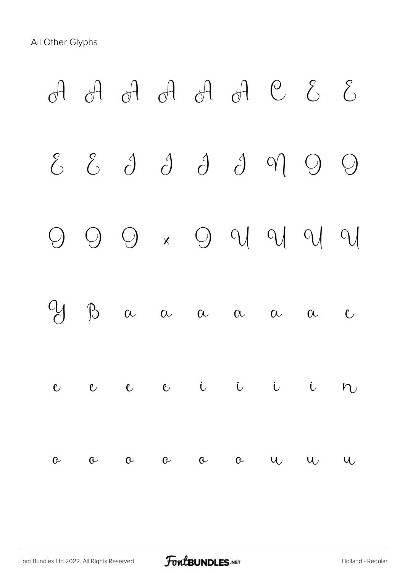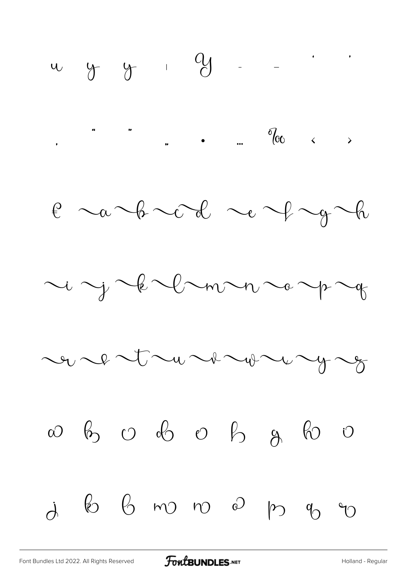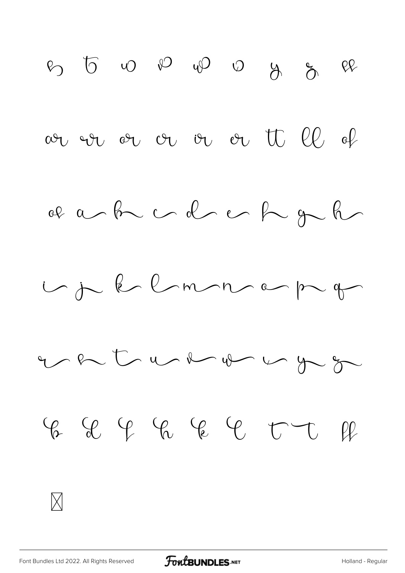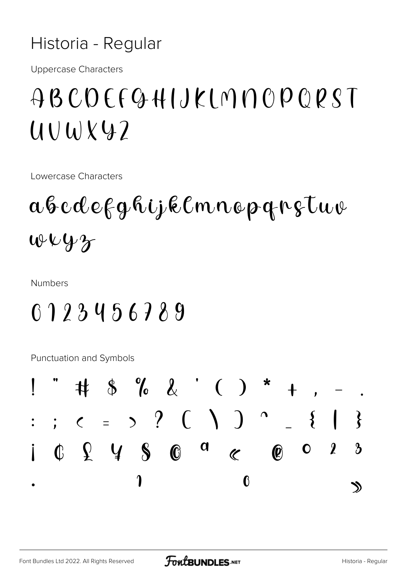### Historia - Regular

**Uppercase Characters** 

# $A B CO C F Q H U V C O O O Q S T$  $UUUX42$

Lowercase Characters

# abcdefghijklmnopqnstuv  $WV47$

**Numbers** 

## 0123456789

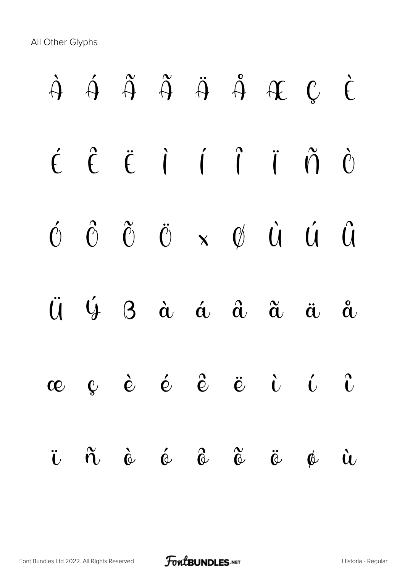# $\dot{A}$   $\dot{A}$   $\ddot{A}$   $\ddot{A}$   $\ddot{A}$   $\alpha$   $C$   $\dot{C}$ É Ê Ë Ì Í Î Ï Ñ Ò Ó Ô Õ Ö × Ø Ù Ú Û Ü Ý ß à á â ã ä å æ ç è é ê ë ì í î ï ñ ò ó ô õ ö ø ù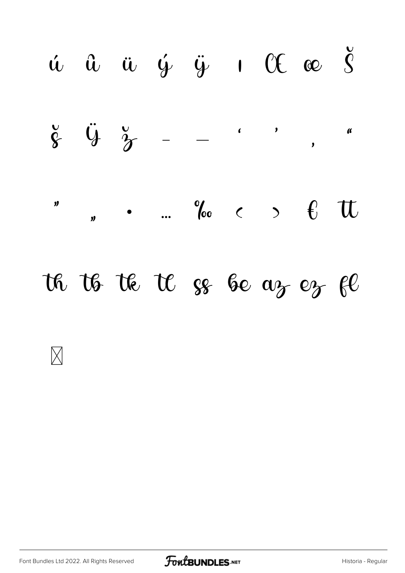



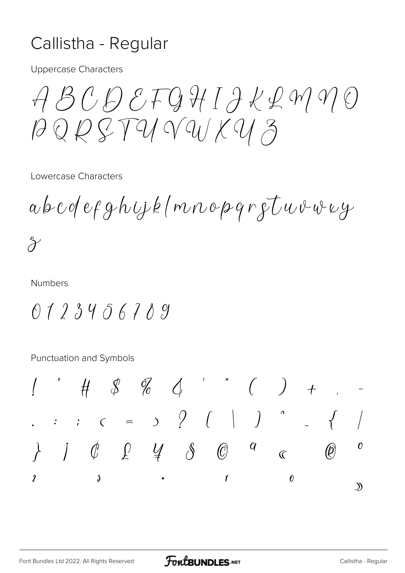### Callistha - Regular

**Uppercase Characters** 

 $A B C D E F G H I H H W O$  $PQQQQTQQQQQQQ$ 

Lowercase Characters

 $ab\cot\theta$  efghijk (mnopqr $\zeta$ tuvwy  $\mathcal{X}$ 

**Numbers** 

 $0123406709$ 

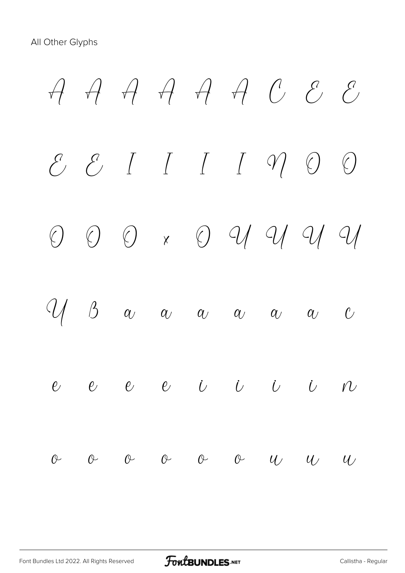À Á Â Ã Ä Å Ç È É Ê Ë Ì Í Î Ï Ñ Ò Ó Ô Õ Ö × Ø Ù Ú Û Ü  $\mathcal U$   $\beta$   $\alpha$   $\alpha$   $\alpha$   $\alpha$   $\alpha$   $\alpha$   $\alpha$  $e$   $e$   $e$   $e$   $i$   $i$   $i$   $i$   $n$ ò ó ô õ ö ø ù ú û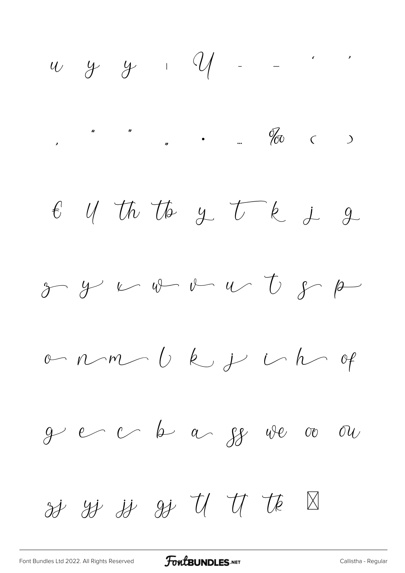w y y 1 U - - ' '  $\frac{1}{2}$  ,  $\frac{1}{2}$  ,  $\frac{1}{2}$  ,  $\frac{1}{2}$  ,  $\frac{1}{2}$  ,  $\frac{1}{2}$  ,  $\frac{1}{2}$  ,  $\frac{1}{2}$  ,  $\frac{1}{2}$  ,  $\frac{1}{2}$  ,  $\frac{1}{2}$  ,  $\frac{1}{2}$  ,  $\frac{1}{2}$  ,  $\frac{1}{2}$  ,  $\frac{1}{2}$  ,  $\frac{1}{2}$  ,  $\frac{1}{2}$  ,  $\frac{1}{2}$  ,  $\frac{1$ U th the y t k j g  $\mathcal{E}$  $g$  y c  $v$   $v$  a  $v$  t  $g$   $\rho$ on  $n-m$  b k  $j$  is  $h$  of  $g$  e c b a  $g$  we  $\infty$  $\overline{\mathit{O}}\mathit{U}$  $3i$  yi ji gi  $11$   $17$   $18$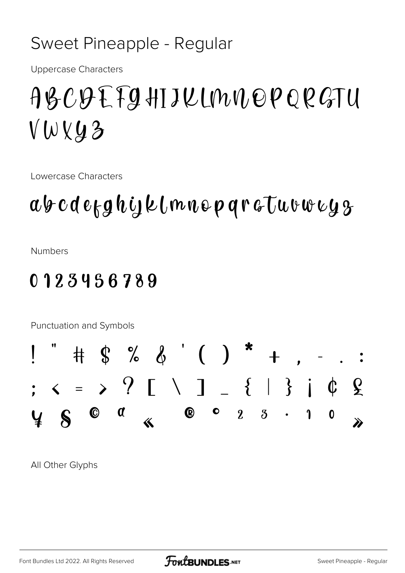### Sweet Pineapple - Regular

**Uppercase Characters** 

# ABCOEFQHIJKLMNOPQRGTU  $VWV43$

Lowercase Characters

## $\alpha$ b cdefghijk (mnop qr GTuvw $\iota$ y $\jmath$

**Numbers** 

## 0123456789

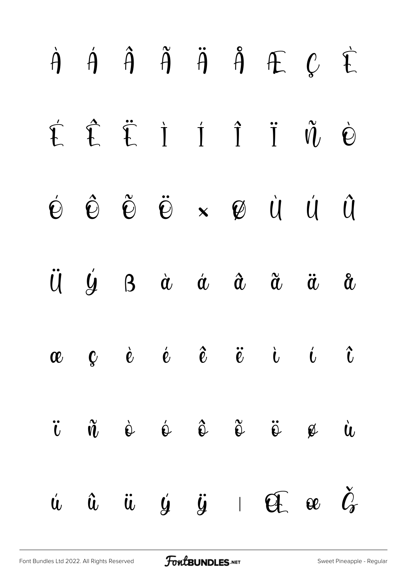# $\dot{A}$   $\dot{A}$   $\ddot{A}$   $\ddot{A}$   $\ddot{A}$   $\ddot{A}$   $\ddot{C}$   $\dot{C}$ É Ê Ë Ì Í Î Ï Ñ Ò  $\acute{\text e}$   $\acute{\text e}$   $\ddot{\text e}$   $\times$   $\cancel{\text e}$   $\dot{\text e}$   $\dot{\text e}$   $\acute{\text e}$   $\acute{\text e}$   $\ddot{\text e}$   $\ddot{\text e}$   $\ddot{\text e}$   $\ddot{\text e}$   $\ddot{\text e}$   $\ddot{\text e}$   $\ddot{\text e}$   $\ddot{\text e}$   $\ddot{\text e}$   $\ddot{\text e}$   $\ddot{\text e}$   $\ddot{\text e}$   $\ddot{\text e}$   $\ddot{\text e}$   $\dd$ Ü Ý ß à á â ã ä å æ ç è é ê ë ì í î ï ñ ò ó ô õ ö ø ù ú û ü ý ÿ  $\mathfrak{g}$  e  $\zeta$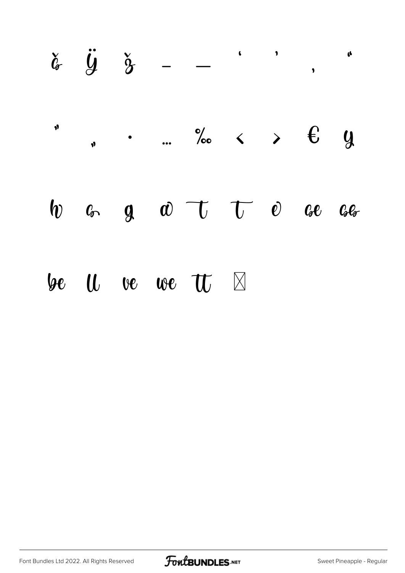|  |  | $\check{c}$ $\ddot{y}$ $\check{z}$ - $\ddot{z}$ , "           |  |  |
|--|--|---------------------------------------------------------------|--|--|
|  |  |                                                               |  |  |
|  |  | $\psi$ of $g$ $\omega$ $\tau$ $\upsilon$ $\omega$ or $\omega$ |  |  |
|  |  | be $u$ ve we $\overline{u}$ $\boxtimes$                       |  |  |

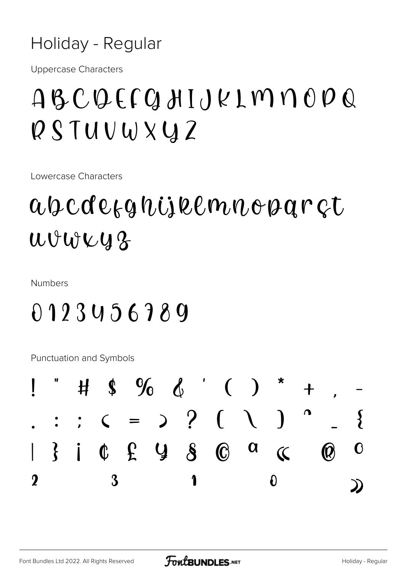### Holiday - Regular

**Uppercase Characters** 

# ABCQEFQHIJKLMNODQ  $RSTUUWXQZ$

Lowercase Characters

# abcdefghijklmnoparct  $uvuvuyg$

**Numbers** 

## 0123456789

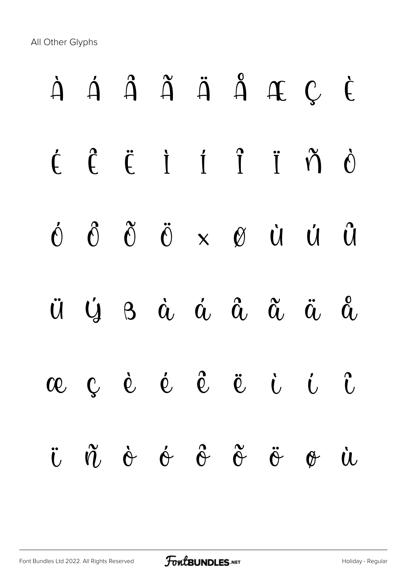# À Á Â Ã Ä Å Æ Ç È É Ê Ë Ì Í Î Ï Ñ Ò Ó Ô Õ Ö × Ø Ù Ú Û Ü Ý ß à á â ã ä å æ ç è é ê ë ì í î ï ñ ò ó ô õ ö ø ù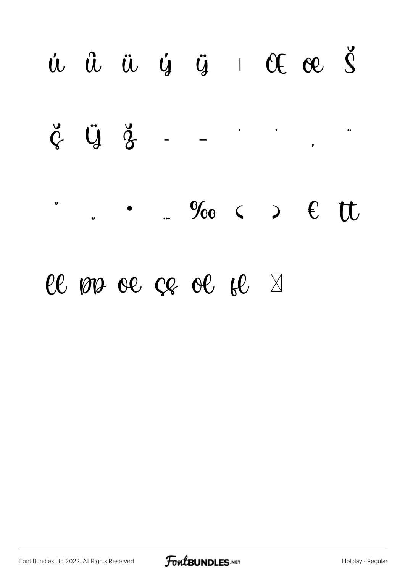

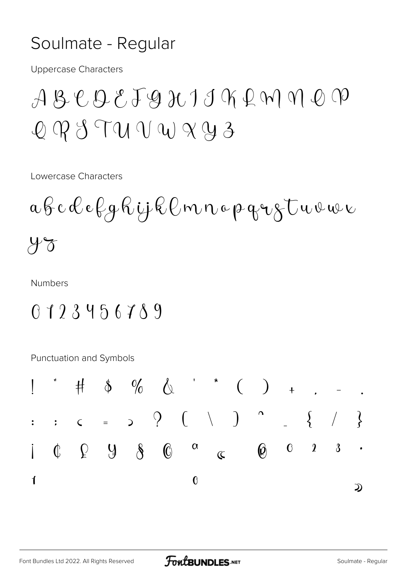### Soulmate - Regular

**Uppercase Characters** 

## ABCDEJGHJGRMMQP  $Q$  of S TUVWXY3

Lowercase Characters

**Numbers** 

## $0123456789$

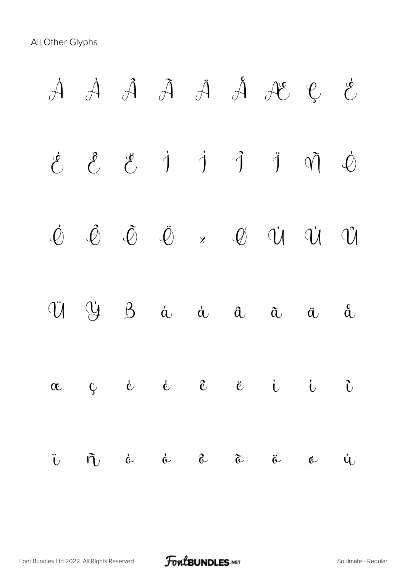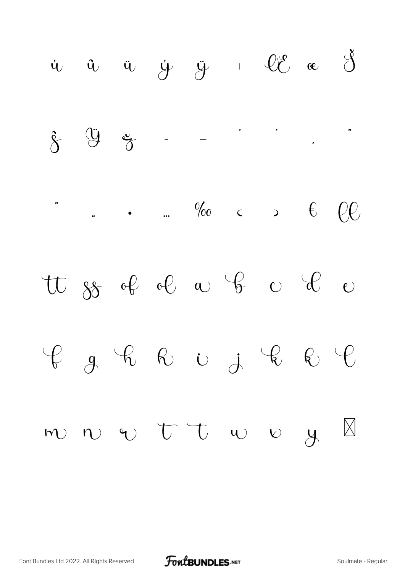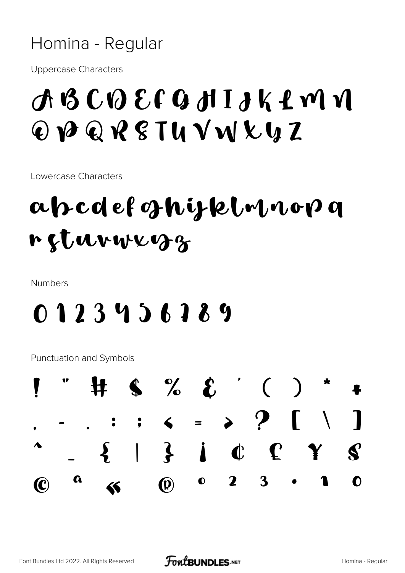### Homina - Regular

**Uppercase Characters** 

## ABCQECGHIJKLMN Q PQ RS TUVWX4Z

Lowercase Characters

## a p c d ef of hiffel m n o p q r sturwegg

**Numbers** 

## 0123456189

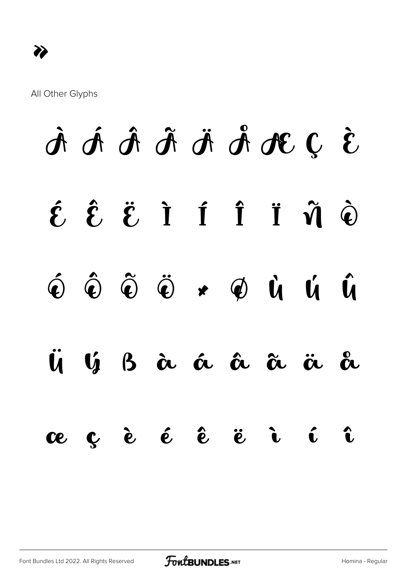# $\hat{A}$   $\hat{A}$   $\hat{B}$   $\hat{B}$   $\hat{C}$   $\hat{C}$   $\hat{D}$   $\hat{D}$   $\hat{D}$   $\hat{D}$ É Ê Ë Ì Í Î Ï Ñ Ò  $\hat{\mathbf{e}}$   $\hat{\mathbf{e}}$   $\hat{\mathbf{e}}$   $\hat{\mathbf{e}}$   $\star$   $\mathbf{e}$   $\mathbf{u}$   $\mathbf{u}$   $\mathbf{u}$   $\hat{\mathbf{u}}$ Ü Ý ß à á â ã ä å æ ç è é ê ë ì í î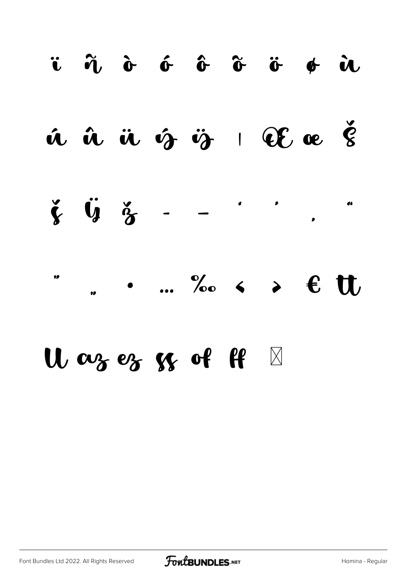

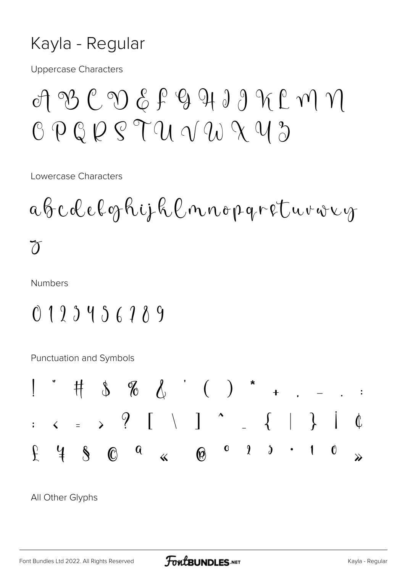### Kayla - Regular

**Uppercase Characters** 

## $\partial_1 \partial_2 C \partial_3 C \partial_4 C \partial_5 C \partial_6 C \partial_7 C \partial_8 C$  $0.908870000049$

Lowercase Characters

abcolelozhijklnnopqretuvoreg  $\gamma$ 

**Numbers** 

## $0123456789$

Punctuation and Symbols

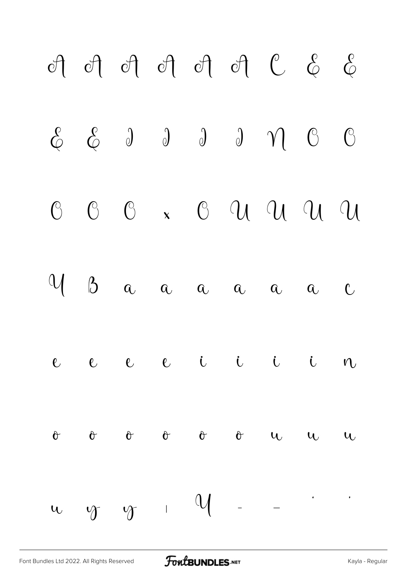